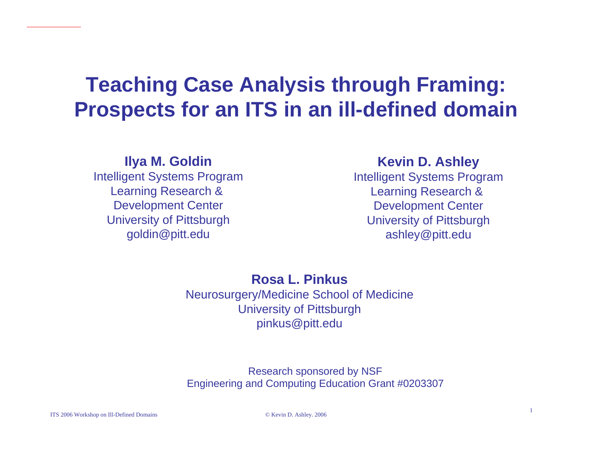## **Teaching Case Analysis through Framing: Prospects for an ITS in an ill-defined domain**

#### **Ilya M. Goldin**

Intelligent Systems Program Learning Research & Development Center University of Pittsburgh goldin@pitt.edu

#### **Kevin D. Ashley**

Intelligent Systems Program Learning Research & Development Center University of Pittsburgh ashley@pitt.edu

#### **Rosa L. Pinkus**

Neurosurgery/Medicine School of Medicine University of Pittsburgh pinkus@pitt.edu

#### Research sponsored by NSF Engineering and Computing Education Grant #0203307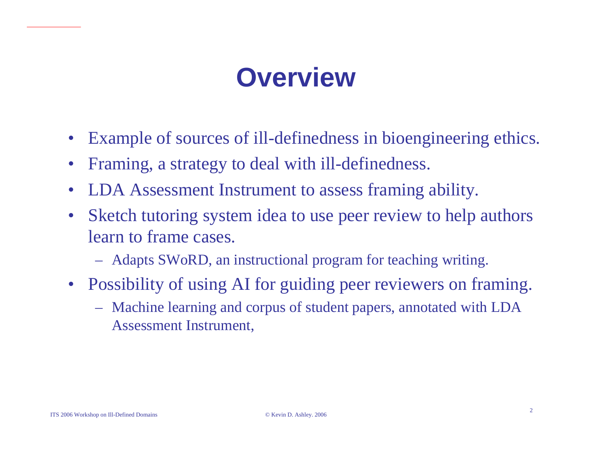# **Overview**

- •Example of sources of ill-definedness in bioengineering ethics.
- $\bullet$ Framing, a strategy to deal with ill-definedness.
- $\bullet$ LDA Assessment Instrument to assess framing ability.
- $\bullet$ Sketch tutoring system idea to use peer review to help authors learn to frame cases.
	- Adapts SWoRD, an instructional program for teaching writing.
- Possibility of using AI for guiding peer reviewers on framing.
	- Machine learning and corpus of student papers, annotated with LDA Assessment Instrument,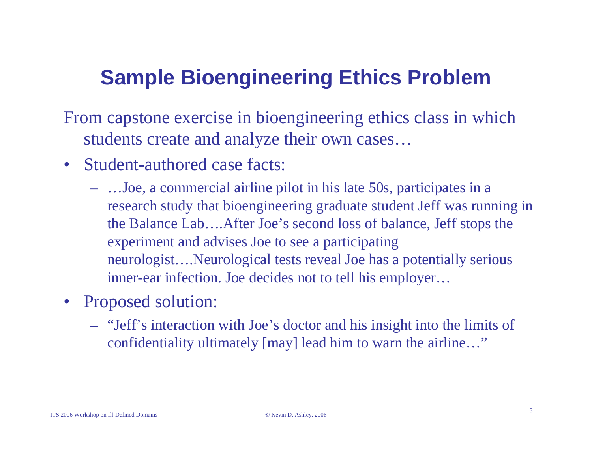## **Sample Bioengineering Ethics Problem**

- From capstone exercise in bioengineering ethics class in which students create and analyze their own cases…
- Student-authored case facts:
	- …Joe, a commercial airline pilot in his lat e 50s, participates in <sup>a</sup> research study that bioengineering graduate student Jeff was running in the Balance Lab….After Joe's second loss of balance, Jeff stops the experiment and advises Joe to see a partici pating neurologist….Neurological tests reveal Joe has a potentially serious inner-ear infection. Joe decides not to tell his employer…
- $\bullet$ Proposed solution:
	- "Jeff's interaction with Joe's doctor and his insight into the limits of confidentiality ultimately [may] lead him to warn the airline…"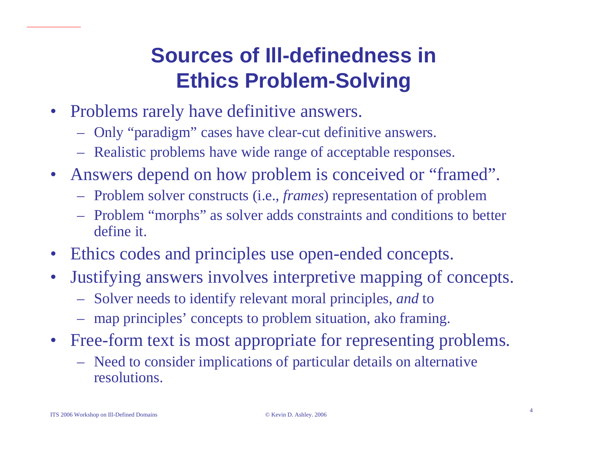## **Sources of Ill-definedness in Ethics Problem-Solving**

- Problems rarely have definitive answers.
	- Only "paradigm" cases have clear-cut definitive answers.
	- Realistic probl ems have wide range of acceptable responses.
- Answers depend on how problem is conceived or "framed".
	- Problem solver constructs (i.e., *frames*) represent ation of problem
	- Problem "morphs" as solver adds constraints and conditions to better define it.
- •Ethics codes and principles use open-ended concepts.
- $\bullet$ Justifying answers involves interpretive mapping of concepts.
	- Solver needs to identify relevant moral principles, *and* to
	- map principles' concepts to problem situation, ako framing.
- Free-form text is most appropriate for representing problems.
	- Need to consider implications of particular details on alt ernative resolutions.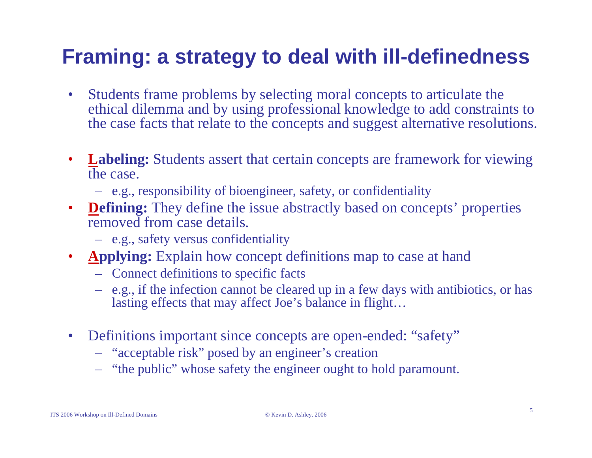## **Framing: a strategy to deal with ill-definedness**

- •Students frame problems by selecting moral concepts to articulate the ethical dilemma and by using professional knowledge to add constraints to the case facts that relate to the concepts and suggest alternative resolutions.
- •**Labeling:** Students assert that certain concepts are framework for viewing the case.
	- e.g., responsibility of bioengineer, safety, or confidentiality
- **Defining:** They define the issue abstractly based on concepts' properties removed from case details.
	- e.g., safety versus confidentiality
- $\bullet$ **Applying:** Explain how concept definitions map to case at hand
	- Connect definitions to specific facts
	- e.g., if the infection cannot be cleared up in a few days with antibiotics, or has lasting effects that may affect Joe's balance in flight…
- $\bullet$ Definitions important since concepts are open-ended: "safety"
	- "acceptable risk" posed by an engineer's creation
	- "the public" whose safety the engineer ought to hold paramount.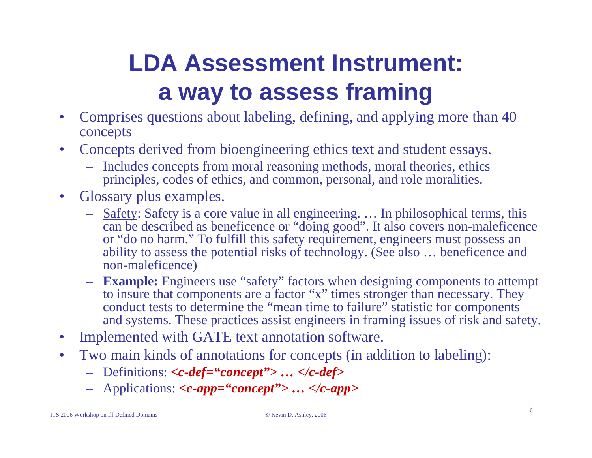# **LDA Assessment Instrument: a way to assess framing**

- •Comprises questions about labeling, defining, and applying more than 40 concepts
- $\bullet$ Concepts derived from bioengineering ethics text and student essays.
	- Includes concepts from moral reasoning methods, moral theories, ethics principles, codes of ethics, and common, personal, and role moralities.
- $\bullet$ Glossary plus examples.
	- Safety: Safety is a core value in all engineering. … In philosophical terms, this can be described as beneficence or "doing good". It also covers non-maleficence or "do no harm." To fulfill this safety requirement, engineers must possess an ability to assess the potential risks of technology. (See also … beneficence and non-maleficence)
	- **Example:** Engineers use "safety" factors when designing components to attempt to insure that components are a factor "x" times stronger than necessary. They conduct tests to determine the "mean time to failure" statistic for components and systems. These practices assist engineers in framing issues of risk and safety.
- •Implemented with GATE text annotation software.
- $\bullet$ Two main kinds of annotations for concepts (in addition to labeling):
	- Definitions: *<c-def="concept"> … </c-def>*
	- Applications: *<c-app="concept"> … </c-app>*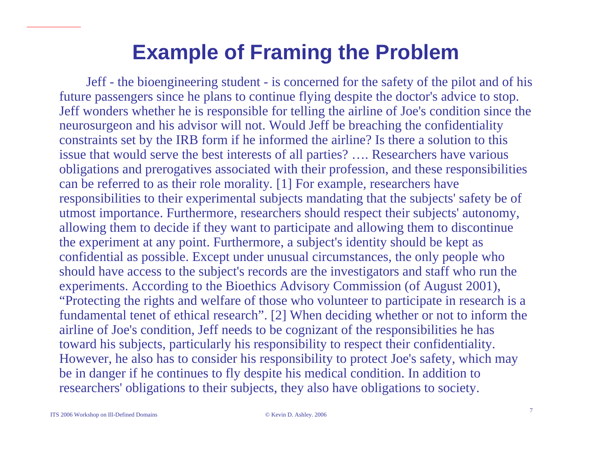### **Example of Framing the Problem**

Jeff - the bioengineering student - is concerned for the safety of the pilot and of his future passengers since he plans to continue flying despite the doctor's advice to stop. Jeff wonders whether he is responsible for telling the airline of Joe's condition since the neurosurgeon and his advisor will not. Would Jeff be breaching the confidentiality constraints set by the IRB form if he informed the airline? Is there a solution to this issue that would serve the best interests of all parties? …. Researchers have various obligations and prerogatives associated with their profession, and these responsibilities can be referred to as their role morality*.* [1] For example*,* researchers have responsibilities to their experimental subjects mandating that the subjects' safety be of utmost importance. Furthermore*,* researchers should respect their subjects' autonomy, allowing them to decide if they want to participate and allowing them to discontinue the experiment at any point. Furthermore, a subject's identity should be kept as confidential as possible. Except under unusual circumstances*,* the only people who should have access to the subject's records are the investigators and staff who run the experiments. According to the Bioethics Advisory Commission (of August 2001), "Protecting the rights and welfare of those who volunteer to participate in research is a fundamental tenet of ethical research". [2] When deciding whether or not to inform the airline of Joe's condition, Jeff needs to be cognizant of the responsibilities he has toward his subjects, particularly his responsibility to respect their confidentiality. However, he also has to consider his responsibility to protect Joe's safety, which may be in danger if he continues to fly despite his medical condition. In addition to researchers' obligations to their subjects, they also have obligations to society.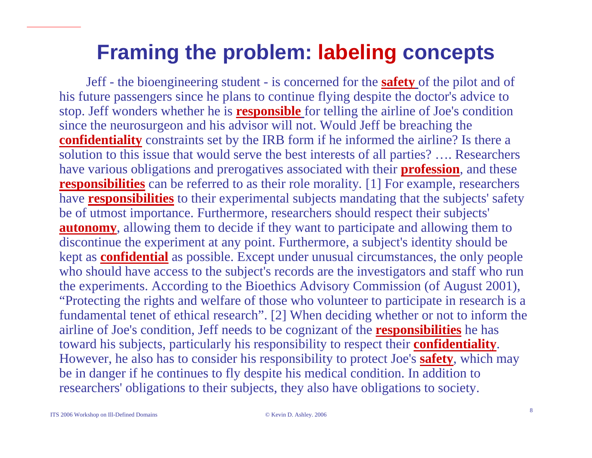### **Framing the problem: labeling concepts**

Jeff - the bioengineering student - is concerned for the **safety** of the pilot and of his future passengers since he plans to continue flying despite the doctor's advice to stop. Jeff wonders whether he is **responsible** for telling the airline of Joe's condition since the neurosurgeon and his advisor will not. Would Jeff be breaching the **confidentiality** constraints set by the IRB form if he informed the airline? Is there a solution to this issue that would serve the best interests of all parties? …. Researchers have various obligations and prerogatives associated with their **profession**, and these **responsibilities** can be referred to as their role morality*.* [1] For example*,* researchers have **responsibilities** to their experimental subjects mandating that the subjects' safety be of utmost importance. Furthermore*,* researchers should respect their subjects' **autonomy**, allowing them to decide if they want to participate and allowing them to discontinue the experiment at any point. Furthermore, a subject's identity should be kept as **confidential** as possible. Except under unusual circumstances*,* the only people who should have access to the subject's records are the investigators and staff who run the experiments. According to the Bioethics Advisory Commission (of August 2001), "Protecting the rights and welfare of those who volunteer to participate in research is a fundamental tenet of ethical research". [2] When deciding whether or not to inform the airline of Joe's condition, Jeff needs to be cognizant of the **responsibilities** he has toward his subjects, particularly his responsibility to respect their **confidentiality**. However, he also has to consider his responsibility to protect Joe's **safety**, which may be in danger if he continues to fly despite his medical condition. In addition to researchers' obligations to their subjects, they also have obligations to society.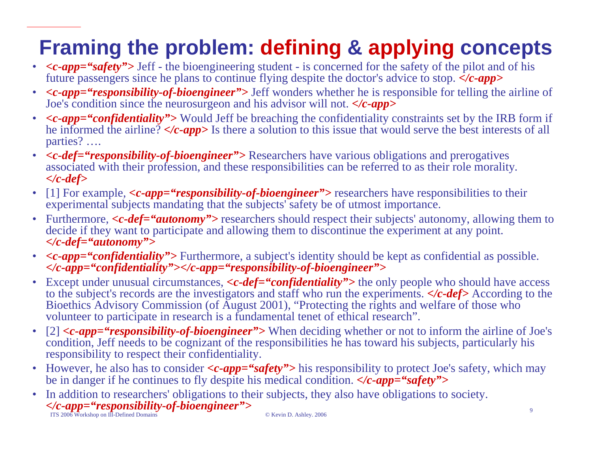## **Framing the problem: defining & applying concepts**

- *<c-app="safety">* Jeff the bioengineering student is concerned for the safety of the pilot and of his future passengers since he plans to continue flying despite the doctor's advice to stop. *</c-app>*
- *<c-app="responsibility-of-bioengineer">* Jeff wonders whether he is responsible for telling the airline of Joe's condition since the neurosurgeon and his advisor will not. *</c-app>*
- <c-app="confidentiality"> Would Jeff be breaching the confidentiality constraints set by the IRB form if he informed the airline? *</c-app>* Is there a solution to this issue that would serve the best interests of all parties? ….
- *<c-def="responsibility-of-bioengineer">* Researchers have various obligations and prerogatives associated with their profession, and these responsibilities can be referred to as their role morality*. </c-def>*
- $\bullet$ • [1] For example,  $\langle c\text{-}app = \text{``responsibleity-of-bio engineer''>}$  researchers have responsibilities to their experimental subjects mandating that the subjects' safety be of utmost importance.
- Furthermore, <c-def="autonomy"> researchers should respect their subjects' autonomy, allowing them to decide if they want to participate and allowing them to discontinue the experiment at any point. *</c-def="auton omy">*
- *<c-app="confidentiality">* Furthermore, a subject's identity should be kept as confidential as possible. *</c-app="confidentiality"></c-app="responsibility-of-bioengineer">*
- Except under unusual circumstances,  $\langle c \cdot def = \langle' confidence \rangle$  the only people who should have access to the subject's records are the investigators and staff who run the experiments. *</c-def>* According to the Bioethics Advisory C ommission (of August 2001), "P r otecting the rights and welfare of those who volunteer to participate in research is a fundamental tenet of ethical research".
- [ 2] *<c-app="responsibility-of-bioengineer">* When deciding whether or not to inform the airline of Joe's condition, Jeff needs to be cognizant of the responsibilities he has toward his subjects, particularly his responsibility to respect their confidentiality.
- However, he also has to consider  $\langle c\text{-}app = \text{``safety''>}$  his responsibility to protect Joe's safety, which may be in danger if he continues to fly despite his medical condition. *</c-app="safety">*
- $\frac{1}{2}$   $\frac{1}{2}$   $\frac{1}{2}$   $\frac{1}{2}$   $\frac{1}{2}$   $\frac{1}{2}$   $\frac{1}{2}$   $\frac{1}{2}$   $\frac{1}{2}$   $\frac{1}{2}$   $\frac{1}{2}$   $\frac{1}{2}$   $\frac{1}{2}$   $\frac{1}{2}$   $\frac{1}{2}$   $\frac{1}{2}$   $\frac{1}{2}$   $\frac{1}{2}$   $\frac{1}{2}$   $\frac{1}{2}$   $\frac{1}{2}$   $\frac{1}{2}$  • In addition to researchers' obligations to their subjects, they also have obligations to society. *</c-app="responsibility-of-bioengineer">*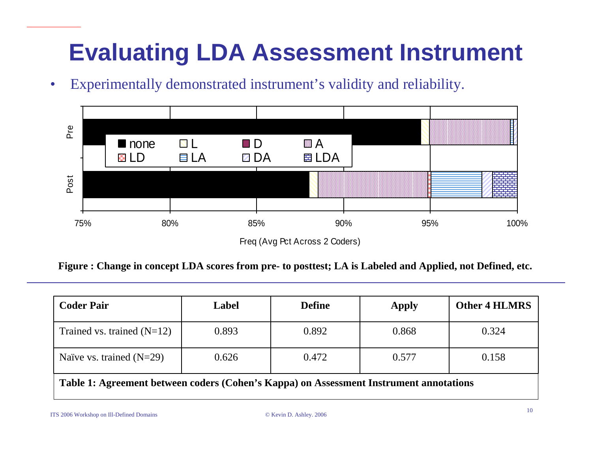# **Evaluating LDA Assessment Instrument**

 $\bullet$ Experimentally demonstrated instrument's validity and reliability.



Figure : Change in concept LDA scores from pre- to posttest; LA is Labeled and Applied, not Defined, etc.

| <b>Coder Pair</b>                                                                      | Label | <b>Define</b> | <b>Apply</b> | <b>Other 4 HLMRS</b> |
|----------------------------------------------------------------------------------------|-------|---------------|--------------|----------------------|
| Trained vs. trained $(N=12)$                                                           | 0.893 | 0.892         | 0.868        | 0.324                |
| Naïve vs. trained $(N=29)$                                                             | 0.626 | 0.472         | 0.577        | 0.158                |
| Table 1: Agreement between coders (Cohen's Kappa) on Assessment Instrument annotations |       |               |              |                      |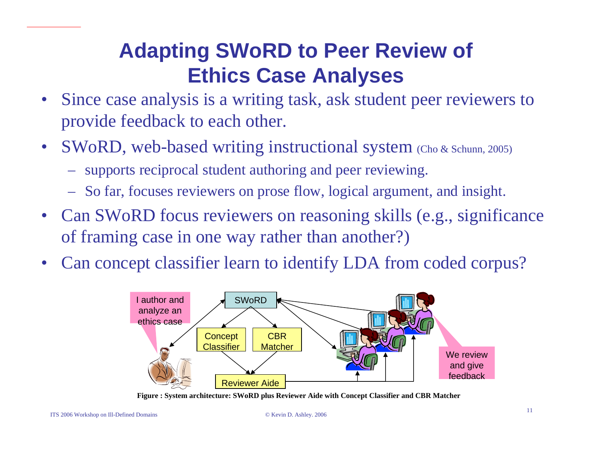### **Adapting SWoRD to Peer Review of Ethics Case Analyses**

- Since case analysis is a writing task, ask student peer reviewers to provide feedback to each other.
- •SWoRD, web-based writing instructional system (Cho & Schunn, 2005)
	- supports reciprocal student authoring and peer reviewing.
	- So far, focuses reviewers on prose flow, logical argument, and insight.
- Can SWoRD focus reviewers on reasoning skills (e.g., significance of framing case in one way rather than another?)
- •Can concept classifier learn to identify LDA from coded corpus?



**Figure : System architecture: SWoRD plus Reviewer Aide with Concept Classifier an d CBR Matcher**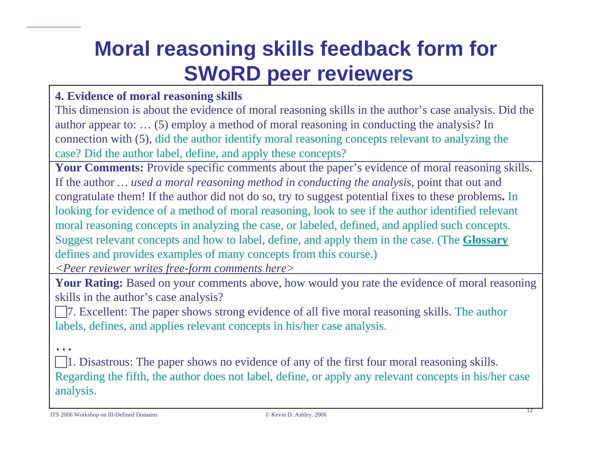## **Moral reasoning skills feedback form for SWoRD peer reviewers**

#### **4. E vidence of moral reas oning skills**

This di m ension is about the evidence of moral reasoning skills in the author's case analysis. Did the author appear to: ... (5) employ a method of moral reasoning in conducting the analysis? In connection with (5), did the author identify m oral reasoning concepts relevant to analyzi ng the case? Did the author label, define, and apply these concepts?

**Your Comments:** Provide specific comments about the paper's evidence of moral reasoning skills. If the author *… used a moral reasoning method in conducting the analysis,* point that out and congratulate the m! If the author did not do s o, try to suggest potential fixes to these problem s**.** In looking for evidence of a method of moral reasoning, look to see if the author identified relevant moral reasoning concepts in analyzing the case, or labeled, defined, and applied such concepts. Suggest relevant concepts and how to label, define, and apply them in the case. (The **Glossary** defines and provides examples of man y concepts fro m this course.)

*<Peer reviewer w rites free-form comments here>*

**Your Rating:** Based on your comments above, how would you rate the evidence of moral reasoning skills in the author's case analysis?

□ 7. Excellent: The paper shows strong evidence of all five moral reasoning skills. The author labels, defines, and applies relevant concepts in his/her case analysis.

□ 1. Disastrous: The paper shows no evidence of any of the first four moral reasoning skills. Regarding the fifth, the author does not label, define, or apply any relevant concepts in his/her case analysis.

…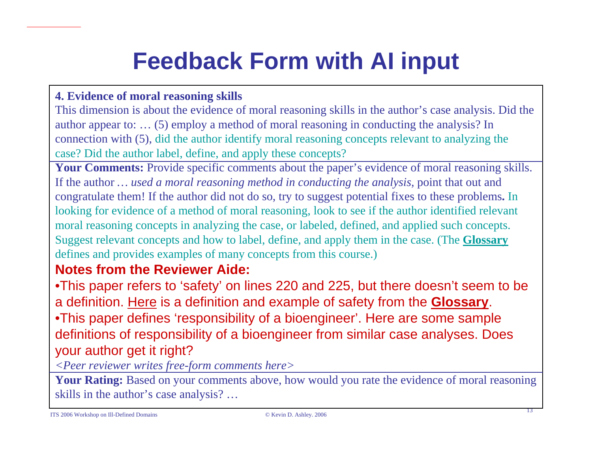# **Feedback Form with AI input**

#### **4. E vidence of moral reas oning skills**

This di m ension is about the evidence of moral reasoning skills in the author's case analysis. Did the author appear to: ... (5) employ a method of moral reasoning in conducting the analysis? In connection with (5), did the author identify m oral reasoning concepts relevant to analyzi ng the case? Did the author label, define, and apply these concepts?

**Your Comments:** Provide specific comments about the paper's evidence of moral reasoning skills. If the author *… used a moral reasoning method in conducting the analysis,* point that out and congratulate the m! If the author did not do s o, try to suggest potential fixes to these problem s**.** In looking for evidence of a method of moral reasoning, look to see if the author identified relevant moral reasoning concepts in analyzing the case, or labeled, defined, and applied such concepts. Suggest relevant concepts and how to label, define, and apply them in the case. (The **Glossary** defines and provides examples of man y concepts fro m this course.)

#### **Notes from the Reviewer Aide:**

•This paper refers to 'safety' on lines 220 and 225, but there doesn't seem to be a definition. Here is a definition and example of safety from the **Glossary**. •This paper defines 'responsibility of a bioengineer'. Here are some sample definitions of responsibility of a bioengineer from similar case analyses. Does your author get it right?

*<Peer reviewer w rites free-form comments here>*

**Your Rating:** Based on your comments above, how would you rate the evidence of moral reasoning skills in the author's case analysis? …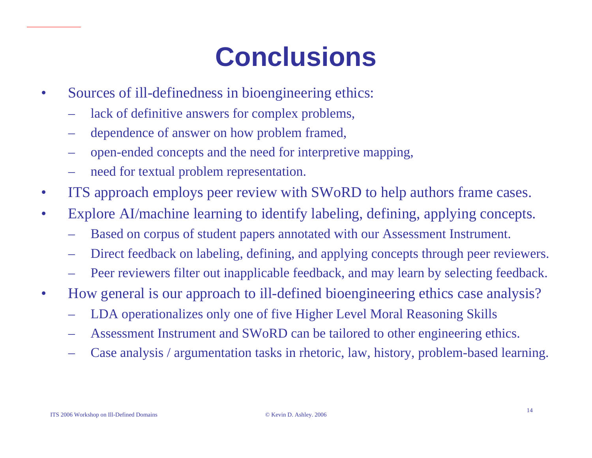# **Conclusions**

- •Sources of ill-definedness in bioengineering ethics:
	- lack of definitive answers for complex problems,
	- dependence of answer on how problem framed,
	- open-ended concepts and the need for interpretive mapping,
	- need for textual problem representation.
- •ITS approach employs peer review with SWoRD to help authors frame cases.
- •Explore AI/machine learning to identify labeling, defining, applying concepts.
	- Based on corpus of student papers annotated with our Assessment Instrument.
	- Direct feedback on labeling, defining, and applying concepts through peer reviewers.
	- Peer reviewers filter out inapplicable feedback, and may learn by selecting feedback.
- •H o w g eneral is our approach to ill-defined bioengineering ethics case analysis?
	- LDA operationalizes only one of five Higher Level Moral Reasoning Skills
	- Assessment Instrument and SWoRD can be tailored to other engineering ethics.
	- Case analysis / argumentation tasks in rhetoric, law, history, problem-based learning.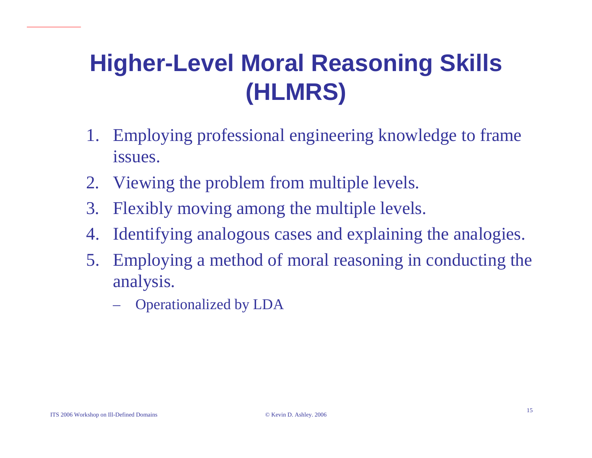# **Higher-Level Moral Reasoning Skills (HLMRS)**

- 1. Employing professional engineering knowledge to frame issues.
- 2. Viewing the problem from multiple levels.
- 3. Flexibly moving among the multiple levels.
- 4. Identifying analogous cases and explaining the analogies.
- 5. Employing a method of moral reasoning in conducting the analysis.
	- Operationalized by LDA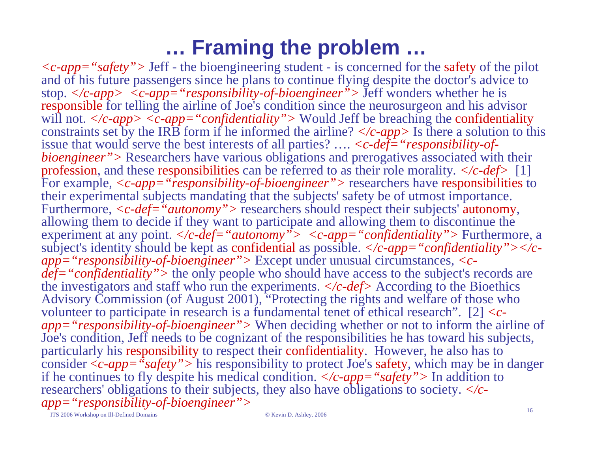### **… Framing the problem …**

*<c-app="safety">* Jeff - the bioengineering student - is concerned for the safety of the pilot and of his future passengers since he plans to continue flying despite the doctor's advice to stop. *</c-app> <c-app="responsibility-of-bioengineer">* Jeff wonders whether he is responsible for telling the airline of Joe's condition since the neurosurgeon and his advisor will not.  $\langle c\text{-}app \rangle \langle c\text{-}app = \langle \text{confidentiality} \rangle$  Would Jeff be breaching the confidentiality constraints set by the IRB form if he informed the airline? *</c-app>* Is there a s olution to this issue that would serve the best interests of all parties? …. *<c-def="responsibility-ofbioengineer*"> Researchers have various obligations and prerogatives associated with their profession, and these responsibilities can be referred to as their role morality*. </c-def>* [1] For example*, <c-app="responsibility-of-bioengineer">* researchers have responsibilities to their experimental subjects mandating that the subjects' safety be of utmost importance. Furthermore,  $\langle c \cdot def = "autonomy" \rangle$  researchers should respect their subjects' autonomy, allowing them to decide if they want to participate and allowing them to discontinue the experiment at any point. *</c-def="autonomy"> <c-app="confidentiality">* Furthermore, a subject's identity should be kept as confidential as possible.  $\langle c$ -app="confidentiality"> $\langle c$ *app="responsibility-of-bioengineer">* Except under unusual circumstances*, <cdef="confidentiality">* the only people who should have access to the subject's records are the investigators and staff who run the experiments. *</c-def>* According to the Bioethics Advisory Commission (of August 2001), "Protecting the rights and welfare of those who volunteer to participate in research is a fundamental tenet of ethical research". [2] *<capp="responsibility-of-bioengineer">* When deciding whether or not to inform the airline of Joe's condition, Jeff needs to be cognizant of the responsibilities he has toward his subjects, particularly his responsibility to respect their confidentiality. However, he also has to consider <sup>&</sup>lt;*c-app="safety">* his responsibility to protect Joe's safety, which may be in danger if he continues to fly despite his medical condition. *</c-app="safety">* In addition to researchers' obligations to their subjects, they also have obligations to society. *</capp="responsibility-of-bioengineer">*